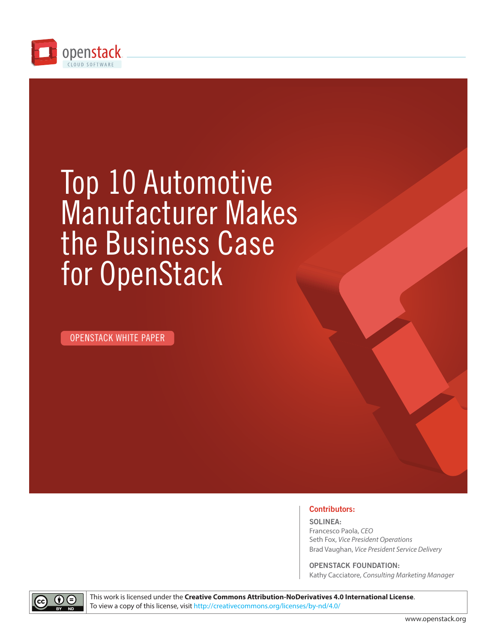

# Top 10 Automotive Manufacturer Makes the Business Case for OpenStack

OPENSTACK WHITE PAPER



**SOLINEA:** Francesco Paola, *CEO* Seth Fox, *Vice President Operations* Brad Vaughan, *Vice President Service Delivery*

**OPENSTACK FOUNDATION:** Kathy Cacciatore, *Consulting Marketing Manager*



This work is licensed under the **Creative Commons Attribution-NoDerivatives 4.0 International License**. To view a copy of this license, visit http://creativecommons.org/licenses/by-nd/4.0/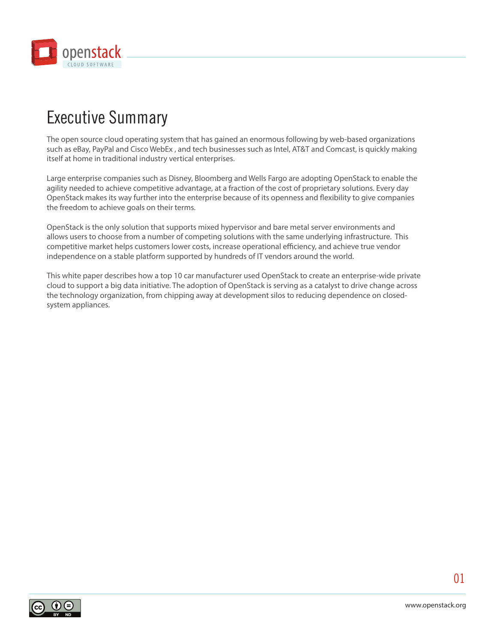

# Executive Summary

The open source cloud operating system that has gained an enormous following by web-based organizations such as eBay, PayPal and Cisco WebEx , and tech businesses such as Intel, AT&T and Comcast, is quickly making itself at home in traditional industry vertical enterprises.

Large enterprise companies such as Disney, Bloomberg and Wells Fargo are adopting OpenStack to enable the agility needed to achieve competitive advantage, at a fraction of the cost of proprietary solutions. Every day OpenStack makes its way further into the enterprise because of its openness and flexibility to give companies the freedom to achieve goals on their terms.

OpenStack is the only solution that supports mixed hypervisor and bare metal server environments and allows users to choose from a number of competing solutions with the same underlying infrastructure. This competitive market helps customers lower costs, increase operational efficiency, and achieve true vendor independence on a stable platform supported by hundreds of IT vendors around the world.

This white paper describes how a top 10 car manufacturer used OpenStack to create an enterprise-wide private cloud to support a big data initiative. The adoption of OpenStack is serving as a catalyst to drive change across the technology organization, from chipping away at development silos to reducing dependence on closedsystem appliances.

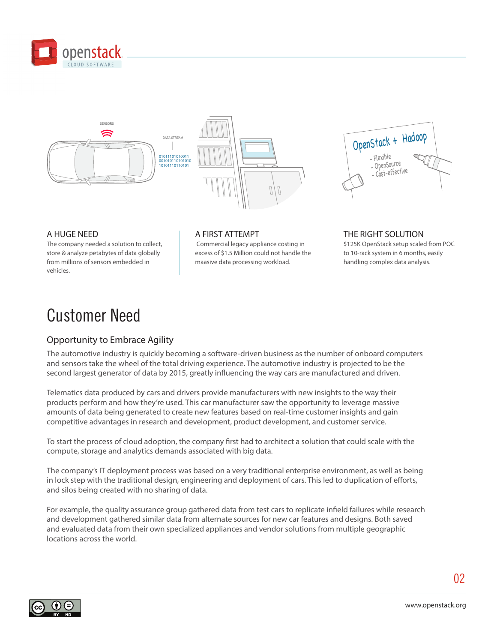





### A HUGE NEED

The company needed a solution to collect, store & analyze petabytes of data globally from millions of sensors embedded in vehicles.

### A FIRST ATTEMPT

 Commercial legacy appliance costing in excess of \$1.5 Million could not handle the maasive data processing workload.

THE RIGHT SOLUTION \$125K OpenStack setup scaled from POC to 10-rack system in 6 months, easily handling complex data analysis.

### Customer Need

### Opportunity to Embrace Agility

The automotive industry is quickly becoming a software-driven business as the number of onboard computers and sensors take the wheel of the total driving experience. The automotive industry is projected to be the second largest generator of data by 2015, greatly influencing the way cars are manufactured and driven.

Telematics data produced by cars and drivers provide manufacturers with new insights to the way their products perform and how they're used. This car manufacturer saw the opportunity to leverage massive amounts of data being generated to create new features based on real-time customer insights and gain competitive advantages in research and development, product development, and customer service.

To start the process of cloud adoption, the company first had to architect a solution that could scale with the compute, storage and analytics demands associated with big data.

The company's IT deployment process was based on a very traditional enterprise environment, as well as being in lock step with the traditional design, engineering and deployment of cars. This led to duplication of efforts, and silos being created with no sharing of data.

For example, the quality assurance group gathered data from test cars to replicate infield failures while research and development gathered similar data from alternate sources for new car features and designs. Both saved and evaluated data from their own specialized appliances and vendor solutions from multiple geographic locations across the world.

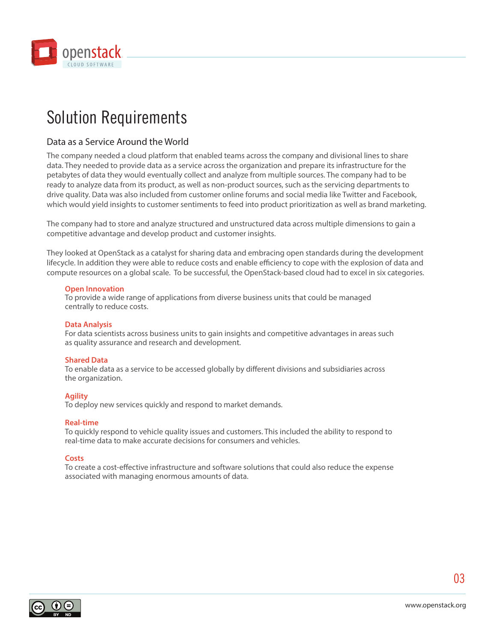

### Solution Requirements

### Data as a Service Around the World

The company needed a cloud platform that enabled teams across the company and divisional lines to share data. They needed to provide data as a service across the organization and prepare its infrastructure for the petabytes of data they would eventually collect and analyze from multiple sources. The company had to be ready to analyze data from its product, as well as non-product sources, such as the servicing departments to drive quality. Data was also included from customer online forums and social media like Twitter and Facebook, which would yield insights to customer sentiments to feed into product prioritization as well as brand marketing.

The company had to store and analyze structured and unstructured data across multiple dimensions to gain a competitive advantage and develop product and customer insights.

They looked at OpenStack as a catalyst for sharing data and embracing open standards during the development lifecycle. In addition they were able to reduce costs and enable efficiency to cope with the explosion of data and compute resources on a global scale. To be successful, the OpenStack-based cloud had to excel in six categories.

### **Open Innovation**

To provide a wide range of applications from diverse business units that could be managed centrally to reduce costs.

### **Data Analysis**

For data scientists across business units to gain insights and competitive advantages in areas such as quality assurance and research and development.

### **Shared Data**

To enable data as a service to be accessed globally by different divisions and subsidiaries across the organization.

### **Agility**

To deploy new services quickly and respond to market demands.

### **Real-time**

To quickly respond to vehicle quality issues and customers. This included the ability to respond to real-time data to make accurate decisions for consumers and vehicles.

### **Costs**

To create a cost-effective infrastructure and software solutions that could also reduce the expense associated with managing enormous amounts of data.

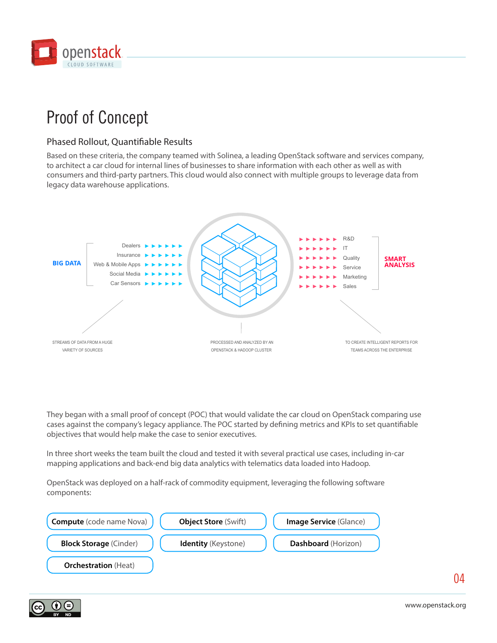

# Proof of Concept

### Phased Rollout, Quantifiable Results

Based on these criteria, the company teamed with Solinea, a leading OpenStack software and services company, to architect a car cloud for internal lines of businesses to share information with each other as well as with consumers and third-party partners. This cloud would also connect with multiple groups to leverage data from legacy data warehouse applications.



They began with a small proof of concept (POC) that would validate the car cloud on OpenStack comparing use cases against the company's legacy appliance. The POC started by defining metrics and KPIs to set quantifiable objectives that would help make the case to senior executives.

In three short weeks the team built the cloud and tested it with several practical use cases, including in-car mapping applications and back-end big data analytics with telematics data loaded into Hadoop.

OpenStack was deployed on a half-rack of commodity equipment, leveraging the following software components:



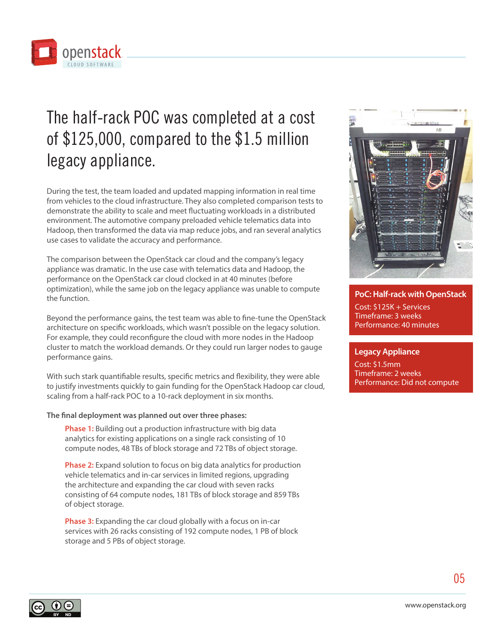

# The half-rack POC was completed at a cost of \$125,000, compared to the \$1.5 million legacy appliance.

During the test, the team loaded and updated mapping information in real time from vehicles to the cloud infrastructure. They also completed comparison tests to demonstrate the ability to scale and meet fluctuating workloads in a distributed environment. The automotive company preloaded vehicle telematics data into Hadoop, then transformed the data via map reduce jobs, and ran several analytics use cases to validate the accuracy and performance.

The comparison between the OpenStack car cloud and the company's legacy appliance was dramatic. In the use case with telematics data and Hadoop, the performance on the OpenStack car cloud clocked in at 40 minutes (before optimization), while the same job on the legacy appliance was unable to compute the function.

Beyond the performance gains, the test team was able to fine-tune the OpenStack architecture on specific workloads, which wasn't possible on the legacy solution. For example, they could reconfigure the cloud with more nodes in the Hadoop cluster to match the workload demands. Or they could run larger nodes to gauge performance gains.

With such stark quantifiable results, specific metrics and flexibility, they were able to justify investments quickly to gain funding for the OpenStack Hadoop car cloud, scaling from a half-rack POC to a 10-rack deployment in six months.

### **The final deployment was planned out over three phases:**

**Phase 1:** Building out a production infrastructure with big data analytics for existing applications on a single rack consisting of 10 compute nodes, 48 TBs of block storage and 72 TBs of object storage.

**Phase 2:** Expand solution to focus on big data analytics for production vehicle telematics and in-car services in limited regions, upgrading the architecture and expanding the car cloud with seven racks consisting of 64 compute nodes, 181 TBs of block storage and 859 TBs of object storage.

**Phase 3:** Expanding the car cloud globally with a focus on in-car services with 26 racks consisting of 192 compute nodes, 1 PB of block storage and 5 PBs of object storage.



### **PoC: Half-rack with OpenStack**

Cost: \$125K + Services Timeframe: 3 weeks Performance: 40 minutes

### **Legacy Appliance**

Cost: \$1.5mm Timeframe: 2 weeks Performance: Did not compute

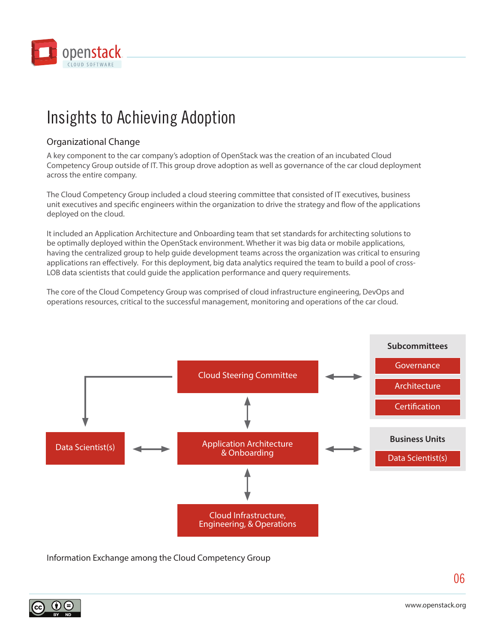

# Insights to Achieving Adoption

### Organizational Change

A key component to the car company's adoption of OpenStack was the creation of an incubated Cloud Competency Group outside of IT. This group drove adoption as well as governance of the car cloud deployment across the entire company.

The Cloud Competency Group included a cloud steering committee that consisted of IT executives, business unit executives and specific engineers within the organization to drive the strategy and flow of the applications deployed on the cloud.

It included an Application Architecture and Onboarding team that set standards for architecting solutions to be optimally deployed within the OpenStack environment. Whether it was big data or mobile applications, having the centralized group to help guide development teams across the organization was critical to ensuring applications ran effectively. For this deployment, big data analytics required the team to build a pool of cross-LOB data scientists that could guide the application performance and query requirements.

The core of the Cloud Competency Group was comprised of cloud infrastructure engineering, DevOps and operations resources, critical to the successful management, monitoring and operations of the car cloud.



Information Exchange among the Cloud Competency Group



06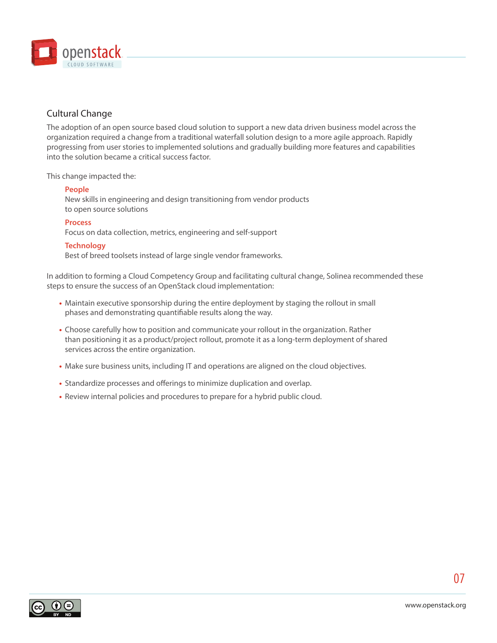

### Cultural Change

The adoption of an open source based cloud solution to support a new data driven business model across the organization required a change from a traditional waterfall solution design to a more agile approach. Rapidly progressing from user stories to implemented solutions and gradually building more features and capabilities into the solution became a critical success factor.

This change impacted the:

### **People**

New skills in engineering and design transitioning from vendor products to open source solutions

### **Process**

Focus on data collection, metrics, engineering and self-support

### **Technology**

Best of breed toolsets instead of large single vendor frameworks.

In addition to forming a Cloud Competency Group and facilitating cultural change, Solinea recommended these steps to ensure the success of an OpenStack cloud implementation:

- **•** Maintain executive sponsorship during the entire deployment by staging the rollout in small phases and demonstrating quantifiable results along the way.
- **•** Choose carefully how to position and communicate your rollout in the organization. Rather than positioning it as a product/project rollout, promote it as a long-term deployment of shared services across the entire organization.
- **•** Make sure business units, including IT and operations are aligned on the cloud objectives.
- **•** Standardize processes and offerings to minimize duplication and overlap.
- **•** Review internal policies and procedures to prepare for a hybrid public cloud.